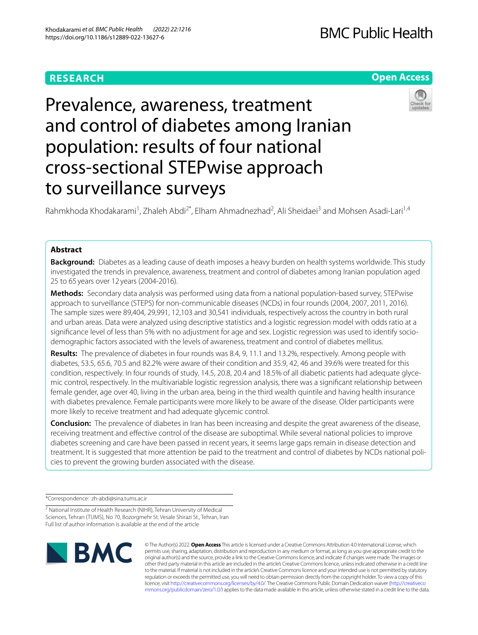## **RESEARCH**

## **Open Access**

# Prevalence, awareness, treatment and control of diabetes among Iranian population: results of four national cross-sectional STEPwise approach to surveillance surveys



Rahmkhoda Khodakarami<sup>1</sup>, Zhaleh Abdi<sup>2\*</sup>, Elham Ahmadnezhad<sup>2</sup>, Ali Sheidaei<sup>3</sup> and Mohsen Asadi-Lari<sup>1,4</sup>

## **Abstract**

**Background:** Diabetes as a leading cause of death imposes a heavy burden on health systems worldwide. This study investigated the trends in prevalence, awareness, treatment and control of diabetes among Iranian population aged 25 to 65 years over 12 years (2004-2016).

**Methods:** Secondary data analysis was performed using data from a national population-based survey, STEPwise approach to surveillance (STEPS) for non-communicable diseases (NCDs) in four rounds (2004, 2007, 2011, 2016). The sample sizes were 89,404, 29,991, 12,103 and 30,541 individuals, respectively across the country in both rural and urban areas. Data were analyzed using descriptive statistics and a logistic regression model with odds ratio at a signifcance level of less than 5% with no adjustment for age and sex. Logistic regression was used to identify sociodemographic factors associated with the levels of awareness, treatment and control of diabetes mellitus.

**Results:** The prevalence of diabetes in four rounds was 8.4, 9, 11.1 and 13.2%, respectively. Among people with diabetes, 53.5, 65.6, 70.5 and 82.2% were aware of their condition and 35.9, 42, 46 and 39.6% were treated for this condition, respectively. In four rounds of study, 14.5, 20.8, 20.4 and 18.5% of all diabetic patients had adequate glycemic control, respectively. In the multivariable logistic regression analysis, there was a signifcant relationship between female gender, age over 40, living in the urban area, being in the third wealth quintile and having health insurance with diabetes prevalence. Female participants were more likely to be aware of the disease. Older participants were more likely to receive treatment and had adequate glycemic control.

**Conclusion:** The prevalence of diabetes in Iran has been increasing and despite the great awareness of the disease, receiving treatment and efective control of the disease are suboptimal. While several national policies to improve diabetes screening and care have been passed in recent years, it seems large gaps remain in disease detection and treatment. It is suggested that more attention be paid to the treatment and control of diabetes by NCDs national policies to prevent the growing burden associated with the disease.

\*Correspondence: zh-abdi@sina.tums.ac.ir

<sup>2</sup> National Institute of Health Research (NIHR), Tehran University of Medical Sciences, Tehran (TUMS), No 70, Bozorgmehr St. Vesale Shirazi St., Tehran, Iran Full list of author information is available at the end of the article



© The Author(s) 2022. **Open Access** This article is licensed under a Creative Commons Attribution 4.0 International License, which permits use, sharing, adaptation, distribution and reproduction in any medium or format, as long as you give appropriate credit to the original author(s) and the source, provide a link to the Creative Commons licence, and indicate if changes were made. The images or other third party material in this article are included in the article's Creative Commons licence, unless indicated otherwise in a credit line to the material. If material is not included in the article's Creative Commons licence and your intended use is not permitted by statutory regulation or exceeds the permitted use, you will need to obtain permission directly from the copyright holder. To view a copy of this licence, visit [http://creativecommons.org/licenses/by/4.0/.](http://creativecommons.org/licenses/by/4.0/) The Creative Commons Public Domain Dedication waiver ([http://creativeco](http://creativecommons.org/publicdomain/zero/1.0/) [mmons.org/publicdomain/zero/1.0/](http://creativecommons.org/publicdomain/zero/1.0/)) applies to the data made available in this article, unless otherwise stated in a credit line to the data.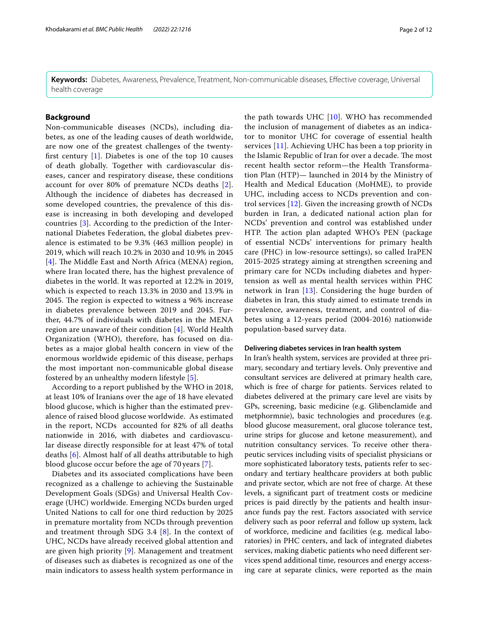**Keywords:** Diabetes, Awareness, Prevalence, Treatment, Non-communicable diseases, Efective coverage, Universal health coverage

#### **Background**

Non-communicable diseases (NCDs), including diabetes, as one of the leading causes of death worldwide, are now one of the greatest challenges of the twentyfrst century [[1\]](#page-10-0). Diabetes is one of the top 10 causes of death globally. Together with cardiovascular diseases, cancer and respiratory disease, these conditions account for over 80% of premature NCDs deaths [[2\]](#page-10-1). Although the incidence of diabetes has decreased in some developed countries, the prevalence of this disease is increasing in both developing and developed countries [[3\]](#page-10-2). According to the prediction of the International Diabetes Federation, the global diabetes prevalence is estimated to be 9.3% (463 million people) in 2019, which will reach 10.2% in 2030 and 10.9% in 2045 [[4](#page-10-3)]. The Middle East and North Africa (MENA) region, where Iran located there, has the highest prevalence of diabetes in the world. It was reported at 12.2% in 2019, which is expected to reach 13.3% in 2030 and 13.9% in 2045. The region is expected to witness a 96% increase in diabetes prevalence between 2019 and 2045. Further, 44.7% of individuals with diabetes in the MENA region are unaware of their condition [[4\]](#page-10-3). World Health Organization (WHO), therefore, has focused on diabetes as a major global health concern in view of the enormous worldwide epidemic of this disease, perhaps the most important non-communicable global disease fostered by an unhealthy modern lifestyle [[5\]](#page-10-4).

According to a report published by the WHO in 2018, at least 10% of Iranians over the age of 18 have elevated blood glucose, which is higher than the estimated prevalence of raised blood glucose worldwide. As estimated in the report, NCDs accounted for 82% of all deaths nationwide in 2016, with diabetes and cardiovascular disease directly responsible for at least 47% of total deaths [[6](#page-10-5)]. Almost half of all deaths attributable to high blood glucose occur before the age of 70 years [[7\]](#page-10-6).

Diabetes and its associated complications have been recognized as a challenge to achieving the Sustainable Development Goals (SDGs) and Universal Health Coverage (UHC) worldwide. Emerging NCDs burden urged United Nations to call for one third reduction by 2025 in premature mortality from NCDs through prevention and treatment through SDG 3.4  $[8]$  $[8]$ . In the context of UHC, NCDs have already received global attention and are given high priority [\[9](#page-10-8)]. Management and treatment of diseases such as diabetes is recognized as one of the main indicators to assess health system performance in

the path towards UHC [[10](#page-10-9)]. WHO has recommended the inclusion of management of diabetes as an indicator to monitor UHC for coverage of essential health services [[11](#page-10-10)]. Achieving UHC has been a top priority in the Islamic Republic of Iran for over a decade. The most recent health sector reform—the Health Transformation Plan (HTP)— launched in 2014 by the Ministry of Health and Medical Education (MoHME), to provide UHC, including access to NCDs prevention and control services [[12\]](#page-10-11). Given the increasing growth of NCDs burden in Iran, a dedicated national action plan for NCDs' prevention and control was established under HTP. The action plan adapted WHO's PEN (package of essential NCDs' interventions for primary health care (PHC) in low-resource settings), so called IraPEN 2015-2025 strategy aiming at strengthen screening and primary care for NCDs including diabetes and hypertension as well as mental health services within PHC network in Iran [[13](#page-10-12)]. Considering the huge burden of diabetes in Iran, this study aimed to estimate trends in prevalence, awareness, treatment, and control of diabetes using a 12-years period (2004-2016) nationwide population-based survey data.

#### **Delivering diabetes services in Iran health system**

In Iran's health system, services are provided at three primary, secondary and tertiary levels. Only preventive and consultant services are delivered at primary health care, which is free of charge for patients. Services related to diabetes delivered at the primary care level are visits by GPs, screening, basic medicine (e.g. Glibenclamide and metphormnie), basic technologies and procedures (e.g. blood glucose measurement, oral glucose tolerance test, urine strips for glucose and ketone measurement), and nutrition consultancy services. To receive other therapeutic services including visits of specialist physicians or more sophisticated laboratory tests, patients refer to secondary and tertiary healthcare providers at both public and private sector, which are not free of charge. At these levels, a signifcant part of treatment costs or medicine prices is paid directly by the patients and health insurance funds pay the rest. Factors associated with service delivery such as poor referral and follow up system, lack of workforce, medicine and facilities (e.g. medical laboratories) in PHC centers, and lack of integrated diabetes services, making diabetic patients who need diferent services spend additional time, resources and energy accessing care at separate clinics, were reported as the main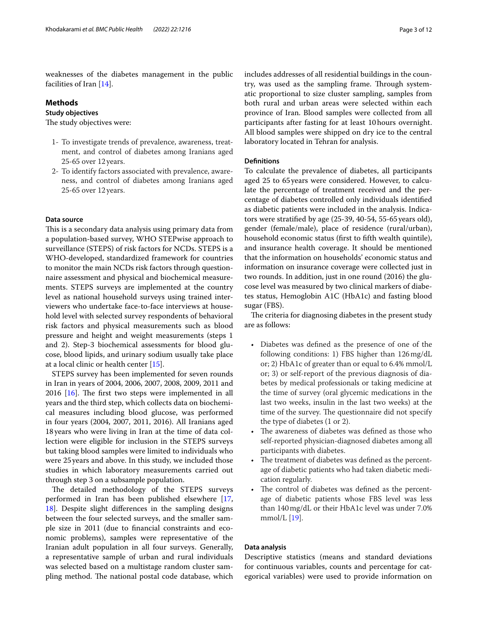#### **Methods**

#### **Study objectives**

The study objectives were:

- 1- To investigate trends of prevalence, awareness, treatment, and control of diabetes among Iranians aged 25-65 over 12 years.
- 2- To identify factors associated with prevalence, awareness, and control of diabetes among Iranians aged 25-65 over 12 years.

#### **Data source**

This is a secondary data analysis using primary data from a population-based survey, WHO STEPwise approach to surveillance (STEPS) of risk factors for NCDs. STEPS is a WHO-developed, standardized framework for countries to monitor the main NCDs risk factors through questionnaire assessment and physical and biochemical measurements. STEPS surveys are implemented at the country level as national household surveys using trained interviewers who undertake face-to-face interviews at household level with selected survey respondents of behavioral risk factors and physical measurements such as blood pressure and height and weight measurements (steps 1 and 2). Step-3 biochemical assessments for blood glucose, blood lipids, and urinary sodium usually take place at a local clinic or health center [[15](#page-10-14)].

STEPS survey has been implemented for seven rounds in Iran in years of 2004, 2006, 2007, 2008, 2009, 2011 and 20[16](#page-10-15)  $[16]$ . The first two steps were implemented in all years and the third step, which collects data on biochemical measures including blood glucose, was performed in four years (2004, 2007, 2011, 2016). All Iranians aged 18years who were living in Iran at the time of data collection were eligible for inclusion in the STEPS surveys but taking blood samples were limited to individuals who were 25years and above. In this study, we included those studies in which laboratory measurements carried out through step 3 on a subsample population.

The detailed methodology of the STEPS surveys performed in Iran has been published elsewhere [\[17](#page-10-16), [18\]](#page-10-17). Despite slight diferences in the sampling designs between the four selected surveys, and the smaller sample size in 2011 (due to fnancial constraints and economic problems), samples were representative of the Iranian adult population in all four surveys. Generally, a representative sample of urban and rural individuals was selected based on a multistage random cluster sampling method. The national postal code database, which includes addresses of all residential buildings in the country, was used as the sampling frame. Through systematic proportional to size cluster sampling, samples from both rural and urban areas were selected within each province of Iran. Blood samples were collected from all participants after fasting for at least 10hours overnight. All blood samples were shipped on dry ice to the central laboratory located in Tehran for analysis.

#### **Defnitions**

To calculate the prevalence of diabetes, all participants aged 25 to 65years were considered. However, to calculate the percentage of treatment received and the percentage of diabetes controlled only individuals identifed as diabetic patients were included in the analysis. Indicators were stratifed by age (25-39, 40-54, 55-65years old), gender (female/male), place of residence (rural/urban), household economic status (frst to ffth wealth quintile), and insurance health coverage. It should be mentioned that the information on households' economic status and information on insurance coverage were collected just in two rounds. In addition, just in one round (2016) the glucose level was measured by two clinical markers of diabetes status, Hemoglobin A1C (HbA1c) and fasting blood sugar (FBS).

The criteria for diagnosing diabetes in the present study are as follows:

- Diabetes was defned as the presence of one of the following conditions: 1) FBS higher than 126mg/dL or; 2) HbA1c of greater than or equal to 6.4% mmol/L or; 3) or self-report of the previous diagnosis of diabetes by medical professionals or taking medicine at the time of survey (oral glycemic medications in the last two weeks, insulin in the last two weeks) at the time of the survey. The questionnaire did not specify the type of diabetes (1 or 2).
- The awareness of diabetes was defined as those who self-reported physician-diagnosed diabetes among all participants with diabetes.
- The treatment of diabetes was defined as the percentage of diabetic patients who had taken diabetic medication regularly.
- The control of diabetes was defined as the percentage of diabetic patients whose FBS level was less than 140mg/dL or their HbA1c level was under 7.0% mmol/L [\[19\]](#page-10-18).

#### **Data analysis**

Descriptive statistics (means and standard deviations for continuous variables, counts and percentage for categorical variables) were used to provide information on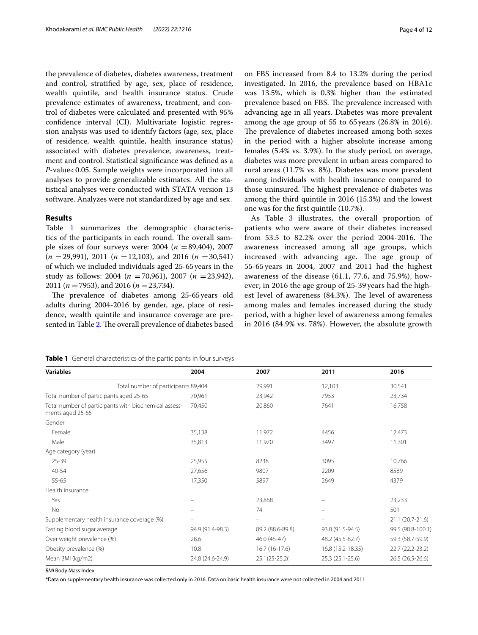the prevalence of diabetes, diabetes awareness, treatment and control, stratifed by age, sex, place of residence, wealth quintile, and health insurance status. Crude prevalence estimates of awareness, treatment, and control of diabetes were calculated and presented with 95% confdence interval (CI). Multivariate logistic regression analysis was used to identify factors (age, sex, place of residence, wealth quintile, health insurance status) associated with diabetes prevalence, awareness, treatment and control. Statistical signifcance was defned as a *P*-value<0.05. Sample weights were incorporated into all analyses to provide generalizable estimates. All the statistical analyses were conducted with STATA version 13 software. Analyzes were not standardized by age and sex.

#### **Results**

Table [1](#page-3-0) summarizes the demographic characteristics of the participants in each round. The overall sample sizes of four surveys were:  $2004 (n = 89,404)$ , 2007 (*n* =29,991), 2011 (*n* =12,103), and 2016 (*n* =30,541) of which we included individuals aged 25-65years in the study as follows: 2004 (*n* =70,961), 2007 (*n* =23,942), 2011 (*n* =7953), and 2016 (*n* =23,734).

The prevalence of diabetes among 25-65 years old adults during 2004-2016 by gender, age, place of residence, wealth quintile and insurance coverage are pre-sented in Table [2](#page-4-0). The overall prevalence of diabetes based on FBS increased from 8.4 to 13.2% during the period investigated. In 2016, the prevalence based on HBA1c was 13.5%, which is 0.3% higher than the estimated prevalence based on FBS. The prevalence increased with advancing age in all years. Diabetes was more prevalent among the age group of 55 to 65 years (26.8% in 2016). The prevalence of diabetes increased among both sexes in the period with a higher absolute increase among females (5.4% vs. 3.9%). In the study period, on average, diabetes was more prevalent in urban areas compared to rural areas (11.7% vs. 8%). Diabetes was more prevalent among individuals with health insurance compared to those uninsured. The highest prevalence of diabetes was among the third quintile in 2016 (15.3%) and the lowest one was for the frst quintile (10.7%).

As Table [3](#page-5-0) illustrates, the overall proportion of patients who were aware of their diabetes increased from 53.5 to 82.2% over the period 2004-2016. The awareness increased among all age groups, which increased with advancing age. The age group of 55-65 years in 2004, 2007 and 2011 had the highest awareness of the disease (61.1, 77.6, and 75.9%), however; in 2016 the age group of 25-39 years had the highest level of awareness  $(84.3%)$ . The level of awareness among males and females increased during the study period, with a higher level of awareness among females in 2016 (84.9% vs. 78%). However, the absolute growth

<span id="page-3-0"></span>

| Table 1 General characteristics of the participants in four surveys |
|---------------------------------------------------------------------|
|---------------------------------------------------------------------|

| <b>Variables</b>                                                          | 2004             | 2007             | 2011              | 2016              |
|---------------------------------------------------------------------------|------------------|------------------|-------------------|-------------------|
| Total number of participants 89,404                                       |                  | 29,991           | 12,103            | 30,541            |
| Total number of participants aged 25-65                                   | 70,961           | 23,942           | 7953              | 23,734            |
| Total number of participants with biochemical assess-<br>ments aged 25-65 | 70,450           | 20,860           | 7641              | 16,758            |
| Gender                                                                    |                  |                  |                   |                   |
| Female                                                                    | 35,138           | 11,972           | 4456              | 12,473            |
| Male                                                                      | 35,813           | 11,970           | 3497              | 11,301            |
| Age category (year)                                                       |                  |                  |                   |                   |
| $25 - 39$                                                                 | 25,955           | 8238             | 3095              | 10,766            |
| 40-54                                                                     | 27,656           | 9807             | 2209              | 8589              |
| 55-65                                                                     | 17,350           | 5897             | 2649              | 4379              |
| Health insurance                                                          |                  |                  |                   |                   |
| Yes                                                                       |                  | 23,868           |                   | 23,233            |
| <b>No</b>                                                                 |                  | 74               |                   | 501               |
| Supplementary health insurance coverage (%)                               |                  |                  |                   | 21.1 (20.7-21.6)  |
| Fasting blood sugar average                                               | 94.9 (91.4-98.3) | 89.2 (88.6-89.8) | 93.0 (91.5-94.5)  | 99.5 (98.8-100.1) |
| Over weight prevalence (%)                                                | 28.6             | 46.0 (45-47)     | 48.2 (45.5-82.7)  | 59.3 (58.7-59.9)  |
| Obesity prevalence (%)                                                    | 10.8             | 16.7 (16-17.6)   | 16.8 (15.2-18.35) | 22.7 (22.2-23.2)  |
| Mean BMI (kg/m2)                                                          | 24.8 (24.6-24.9) | 25.1) 25-25.2(   | 25.3 (25.1-25.6)  | 26.5 (26.5-26.6)  |

*BMI* Body Mass Index

\*Data on supplementary health insurance was collected only in 2016. Data on basic health insurance were not collected in 2004 and 2011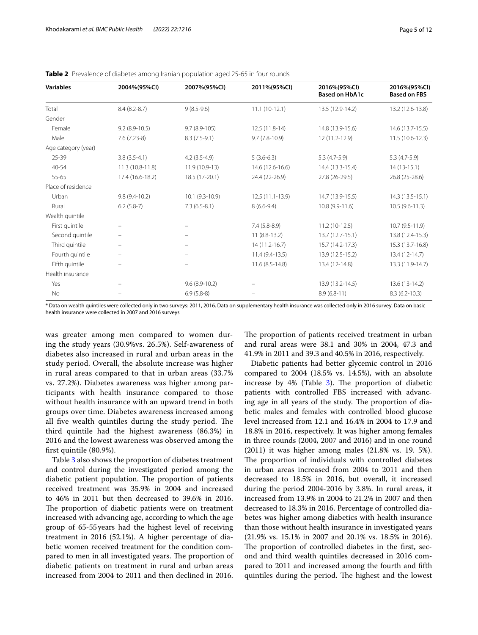| <b>Variables</b>    | 2004%(95%Cl)             | 2007%(95%Cl)     | 2011%(95%Cl)      | 2016%(95%CI)<br><b>Based on HbA1c</b> | 2016%(95%Cl)<br><b>Based on FBS</b> |
|---------------------|--------------------------|------------------|-------------------|---------------------------------------|-------------------------------------|
| Total               | $8.4(8.2 - 8.7)$         | $9(8.5-9.6)$     | $11.1(10-12.1)$   | 13.5 (12.9-14.2)                      | 13.2 (12.6-13.8)                    |
| Gender              |                          |                  |                   |                                       |                                     |
| Female              | $9.2(8.9-10.5)$          | $9.7(8.9-105)$   | 12.5 (11.8-14)    | 14.8 (13.9-15.6)                      | 14.6 (13.7-15.5)                    |
| Male                | $7.6(7.23-8)$            | $8.3(7.5-9.1)$   | $9.7(7.8-10.9)$   | 12 (11.2-12.9)                        | $11.5(10.6-12.3)$                   |
| Age category (year) |                          |                  |                   |                                       |                                     |
| 25-39               | $3.8(3.5-4.1)$           | $4.2(3.5-4.9)$   | $5(3.6-6.3)$      | $5.3(4.7-5.9)$                        | $5.3(4.7-5.9)$                      |
| 40-54               | 11.3 (10.8-11.8)         | 11.9 (10.9-13)   | 14.6 (12.6-16.6)  | 14.4 (13.3-15.4)                      | $14(13-15.1)$                       |
| 55-65               | 17.4 (16.6-18.2)         | 18.5 (17-20.1)   | 24.4 (22-26.9)    | 27.8 (26-29.5)                        | 26.8 (25-28.6)                      |
| Place of residence  |                          |                  |                   |                                       |                                     |
| Urban               | $9.8(9.4-10.2)$          | $10.1(9.3-10.9)$ | $12.5(11.1-13.9)$ | 14.7 (13.9-15.5)                      | 14.3 (13.5-15.1)                    |
| Rural               | $6.2(5.8-7)$             | $7.3(6.5-8.1)$   | $8(6.6-9.4)$      | 10.8 (9.9-11.6)                       | $10.5(9.6-11.3)$                    |
| Wealth quintile     |                          |                  |                   |                                       |                                     |
| First quintile      |                          |                  | $7.4(5.8-8.9)$    | $11.2(10-12.5)$                       | $10.7(9.5-11.9)$                    |
| Second quintile     |                          |                  | $11(8.8-13.2)$    | 13.7 (12.7-15.1)                      | 13.8 (12.4-15.3)                    |
| Third quintile      | $\overline{\phantom{m}}$ |                  | $14(11.2-16.7)$   | 15.7 (14.2-17.3)                      | 15.3 (13.7-16.8)                    |
| Fourth quintile     |                          |                  | $11.4(9.4-13.5)$  | 13.9 (12.5-15.2)                      | $13.4(12-14.7)$                     |
| Fifth quintile      | $\qquad \qquad -$        |                  | 11.6 (8.5-14.8)   | 13.4 (12-14.8)                        | 13.3 (11.9-14.7)                    |
| Health insurance    |                          |                  |                   |                                       |                                     |
| Yes                 |                          | $9.6(8.9-10.2)$  |                   | 13.9 (13.2-14.5)                      | $13.6(13-14.2)$                     |
| <b>No</b>           |                          | $6.9(5.8-8)$     |                   | $8.9(6.8-11)$                         | $8.3(6.2 - 10.3)$                   |

<span id="page-4-0"></span>

| Table 2 Prevalence of diabetes among Iranian population aged 25-65 in four rounds |  |  |  |
|-----------------------------------------------------------------------------------|--|--|--|
|-----------------------------------------------------------------------------------|--|--|--|

\* Data on wealth quintiles were collected only in two surveys: 2011, 2016. Data on supplementary health insurance was collected only in 2016 survey. Data on basic health insurance were collected in 2007 and 2016 surveys

was greater among men compared to women during the study years (30.9%vs. 26.5%). Self-awareness of diabetes also increased in rural and urban areas in the study period. Overall, the absolute increase was higher in rural areas compared to that in urban areas (33.7% vs. 27.2%). Diabetes awareness was higher among participants with health insurance compared to those without health insurance with an upward trend in both groups over time. Diabetes awareness increased among all five wealth quintiles during the study period. The third quintile had the highest awareness (86.3%) in 2016 and the lowest awareness was observed among the frst quintile (80.9%).

Table [3](#page-5-0) also shows the proportion of diabetes treatment and control during the investigated period among the diabetic patient population. The proportion of patients received treatment was 35.9% in 2004 and increased to 46% in 2011 but then decreased to 39.6% in 2016. The proportion of diabetic patients were on treatment increased with advancing age, according to which the age group of 65-55years had the highest level of receiving treatment in 2016 (52.1%). A higher percentage of diabetic women received treatment for the condition compared to men in all investigated years. The proportion of diabetic patients on treatment in rural and urban areas increased from 2004 to 2011 and then declined in 2016. The proportion of patients received treatment in urban and rural areas were 38.1 and 30% in 2004, 47.3 and 41.9% in 2011 and 39.3 and 40.5% in 2016, respectively.

Diabetic patients had better glycemic control in 2016 compared to 2004 (18.5% vs. 14.5%), with an absolute increase by  $4\%$  (Table [3](#page-5-0)). The proportion of diabetic patients with controlled FBS increased with advancing age in all years of the study. The proportion of diabetic males and females with controlled blood glucose level increased from 12.1 and 16.4% in 2004 to 17.9 and 18.8% in 2016, respectively. It was higher among females in three rounds (2004, 2007 and 2016) and in one round (2011) it was higher among males (21.8% vs. 19. 5%). The proportion of individuals with controlled diabetes in urban areas increased from 2004 to 2011 and then decreased to 18.5% in 2016, but overall, it increased during the period 2004-2016 by 3.8%. In rural areas, it increased from 13.9% in 2004 to 21.2% in 2007 and then decreased to 18.3% in 2016. Percentage of controlled diabetes was higher among diabetics with health insurance than those without health insurance in investigated years (21.9% vs. 15.1% in 2007 and 20.1% vs. 18.5% in 2016). The proportion of controlled diabetes in the first, second and third wealth quintiles decreased in 2016 compared to 2011 and increased among the fourth and ffth quintiles during the period. The highest and the lowest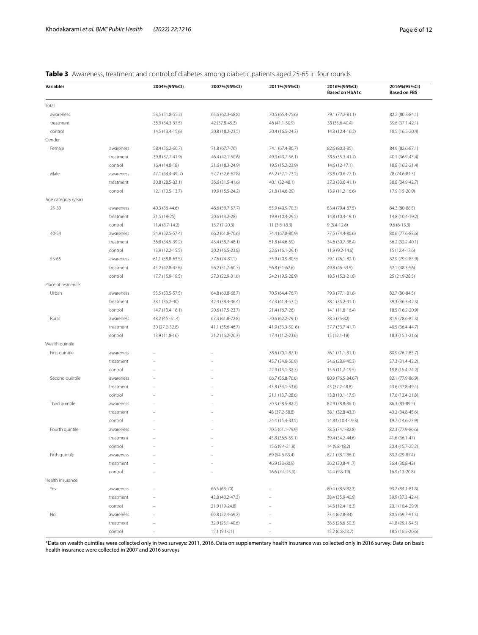## <span id="page-5-0"></span>**Table 3** Awareness, treatment and control of diabetes among diabetic patients aged 25-65 in four rounds

| <b>Variables</b>    |           | 2004%(95%Cl)     | 2007%(95%Cl)     | 2011%(95%CI)     | 2016%(95%CI)<br><b>Based on HbA1c</b> | 2016%(95%Cl)<br><b>Based on FBS</b> |
|---------------------|-----------|------------------|------------------|------------------|---------------------------------------|-------------------------------------|
| Total               |           |                  |                  |                  |                                       |                                     |
| awareness           |           | 53.5 (51.8-55.2) | 65.6 (62.3-68.8) | 70.5 (65.4-75.6) | 79.1 (77.2-81.1)                      | 82.2 (80.3-84.1)                    |
| treatment           |           | 35.9 (34.3-37.5) | 42 (37.8-45.3)   | 46 (41.1-50.9)   | 38 (35.6-40.4)                        | 39.6 (37.1-42.1)                    |
| control             |           | 14.5 (13.4-15.6) | 20.8 (18.2-23.5) | 20.4 (16.5-24.3) | 14.3 (12.4-16.2)                      | 18.5 (16.5-20.4)                    |
| Gender              |           |                  |                  |                  |                                       |                                     |
| Female              | awareness | 58.4 (56.2-60.7) | 71.8 (67.7-76)   | 74.1 (67.4-80.7) | 82.6 (80.3-85)                        | 84.9 (82.6-87.1)                    |
|                     | treatment | 39.8 (37.7-41.9) | 46.4 (42.1-50.6) | 49.9 (43.7-56.1) | 38.5 (35.3-41.7)                      | 40.1 (36.9-43.4)                    |
|                     | control   | 16.4 (14.8-18)   | 21.6 (18.3-24.9) | 19.5 (15.2-23.9) | 14.6 (12-17.1)                        | 18.8 (16.2-21.4)                    |
| Male                | awareness | 47.1 (44.4-49.7) | 57.7 (52.6-62.8) | 65.2 (57.1-73.2) | 73.8 (70.6-77.1)                      | 78 (74.6-81.3)                      |
|                     | treatment | 30.8 (28.5-33.1) | 36.6 (31.5-41.6) | 40.1 (32-48.1)   | 37.3 (33.6-41.1)                      | 38.8 (34.9-42.7)                    |
|                     | control   | 12.1 (10.5-13.7) | 19.9 (15.5-24.2) | 21.8 (14.6-29)   | 13.9 (11.2-16.6)                      | 17.9 (15-20.9)                      |
| Age category (year) |           |                  |                  |                  |                                       |                                     |
| 25-39               | awareness | 40.3 (36-44.6)   | 48.6 (39.7-57.7) | 55.9 (40.9-70.3) | 83.4 (79.4-87.5)                      | 84.3 (80-88.5)                      |
|                     | treatment | 21.5 (18-25)     | 20.6 (13.2-28)   | 19.9 (10.4-29.5) | 14.8 (10.4-19.1)                      | 14.8 (10.4-19.2)                    |
|                     | control   | $11.4(8.7-14.2)$ | 13.7 (7-20.3)    | $11(3.8-18.3)$   | $9(5.4-12.6)$                         | $9.6(6-13.3)$                       |
| $40 - 54$           | awareness | 54.9 (52.5-57.4) | 66.2 (61.8-70.6) | 74.4 (67.8-80.9) | 77.5 (74.4-80.6)                      | 80.6 (77.6-83.6)                    |
|                     | treatment | 36.8 (34.5-39.2) | 43.4 (38.7-48.1) | 51.8 (44.6-59)   | 34.6 (30.7-38.4)                      | 36.2 (32.2-40.1)                    |
|                     | control   | 13.9 (12.2-15.5) | 20.2 (16.5-23.8) | 22.6 (16.1-29.1) | 11.9 (9.2-14.6)                       | 15 (12.4-17.6)                      |
| 55-65               | awareness | 61.1 (58.8-63.5) | 77.6 (74-81.1)   | 75.9 (70.9-80.9) | 79.1 (76.1-82.1)                      | 82.9 (79.9-85.9)                    |
|                     | treatment | 45.2 (42.8-47.6) | 56.2 (51.7-60.7) | 56.8 (51-62.6)   | 49.8 (46-53.5)                        | 52.1 (48.3-56)                      |
|                     | control   | 17.7 (15.9-19.5) | 27.3 (22.9-31.6) | 24.2 (19.5-28.9) | 18.5 (15.3-21.8)                      | 25 (21.9-28.5)                      |
| Place of residence  |           |                  |                  |                  |                                       |                                     |
| Urban               | awareness | 55.5 (53.5-57.5) | 64.8 (60.8-68.7) | 70.5 (64.4-76.7) | 79.3 (77.1-81.6)                      | 82.7 (80-84.5)                      |
|                     | treatment | 38.1 (36.2-40)   | 42.4 (38.4-46.4) | 47.3 (41.4-53.2) | 38.1 (35.2-41.1)                      | 39.3 (36.3-42.3)                    |
|                     | control   | 14.7 (13.4-16.1) | 20.6 (17.5-23.7) | 21.4 (16.7-26)   | 14.1 (11.8-16.4)                      | 18.5 (16.2-20.9)                    |
| Rural               | awareness | 48.2 (45 - 51.4) | 67.3 (61.8-72.8) | 70.6 (62.2-79.1) | 78.5 (75-82)                          | 81.9 (78.6-85.3)                    |
|                     | treatment | 30 (27.2-32.8)   | 41.1 (35.6-46.7) | 41.9 (33.3-50.6) | 37.7 (33.7-41.7)                      | 40.5 (36.4-44.7)                    |
|                     | control   | 13.9 (11.8-16)   | 21.2 (16.2-26.3) | 17.4 (11.2-23.6) | 15 (12.1-18)                          | 18.3 (15.1-21.6)                    |
| Wealth quintile     |           |                  |                  |                  |                                       |                                     |
| First quintile      | awareness |                  |                  | 78.6 (70.1-87.1) | 76.1 (71.1-81.1)                      | 80.9 (76.2-85.7)                    |
|                     | treatment |                  |                  | 45.7 (34.6-56.9) | 34.6 (28.9-40.3)                      | 37.3 (31.4-43.2)                    |
|                     | control   |                  |                  | 22.9 (13.1-32.7) | 15.6 (11.7-19.5)                      | 19.8 (15.4-24.2)                    |
| Second quintile     | awareness |                  |                  | 66.7 (56.8-76.6) | 80.9 (76.5-84.67)                     | 82.1 (77.9-86.9)                    |
|                     | treatment |                  |                  | 43.8 (34.1-53.6) | 43 (37.2-48.8)                        | 43.6 (37.8-49.4)                    |
|                     | control   |                  |                  | 21.1 (13.7-28.6) | 13.8 (10.1-17.5)                      | 17.6 (13.4-21.8)                    |
| Third quintile      | awareness |                  |                  | 70.3 (58.5-82.2) | 82.9 (78.8-86.1)                      | 86.3 (83-89.5)                      |
|                     | treatment |                  |                  | 48 (37.2-58.8)   | 38.1 (32.8-43.3)                      | 40.2 (34.8-45.6)                    |
|                     | control   |                  |                  | 24.4 (15.4-33.5) | 14.83 (10.4-19.3)                     | 19.7 (14.6-23.9)                    |
| Fourth quintile     | awareness |                  |                  | 70.5 (61.1-79.9) | 78.5 (74.1-82.8)                      | 82.3 (77.9-86.6)                    |
|                     | treatment |                  |                  | 45.8 (36.5-55.1) | 39.4 (34.2-44.6)                      | 41.6 (36.1-47)                      |
|                     | control   |                  |                  | 15.6 (9.4-21.8)  | 14 (9.8-18.2)                         | 20.4 (15.7-25.2)                    |
| Fifth quintile      | awareness |                  |                  | 69 (54.6-83.4)   | 82.1 (78.1-86.1)                      | 83.2 (79-87.4)                      |
|                     | treatment |                  |                  | 46.9 (33-60.9)   | 36.2 (30.8-41.7)                      | 36.4 (30.8-42)                      |
|                     | control   |                  |                  | 16.6 (7.4-25.9)  | 14.4 (9.8-19)                         | 16.9 (13-20.8)                      |
| Health insurance    |           |                  |                  |                  |                                       |                                     |
| Yes                 | awareness |                  | 66.5 (63-70)     |                  | 80.4 (78.5-82.3)                      | 93.2 (84.1-81.8)                    |
|                     | treatment |                  | 43.8 (40.2-47.3) |                  | 38.4 (35.9-40.9)                      | 39.9 (37.3-42.4)                    |
|                     | control   |                  | 21.9 (19-24.8)   |                  | 14.3 (12.4-16.3)                      | 20.1 (10.4-29.9)                    |
| No                  | awareness |                  | 60.8 (52.4-69.2) |                  | 73.4 (62.8-84)                        | 80.5 (69.7-91.3)                    |
|                     | treatment |                  | 32.9 (25.1-40.6) |                  | 38.5 (26.6-50.3)                      | 41.8 (29.1-54.5)                    |
|                     | control   |                  | 15.1 (9.1-21)    |                  | 15.2 (6.8-23.7)                       | 18.5 (16.5-20.6)                    |

\*Data on wealth quintiles were collected only in two surveys: 2011, 2016. Data on supplementary health insurance was collected only in 2016 survey. Data on basic health insurance were collected in 2007 and 2016 surveys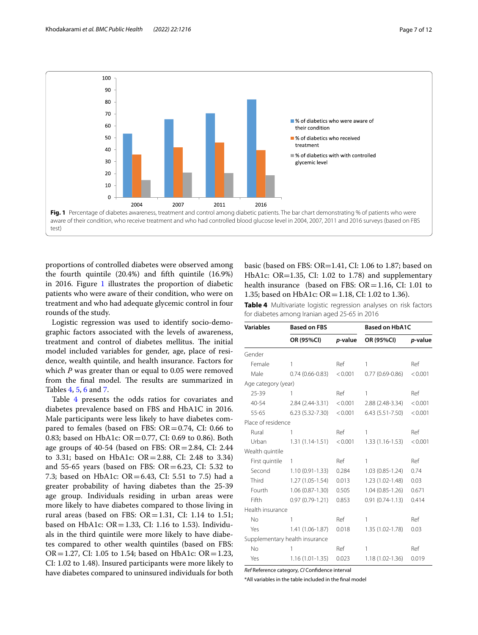

<span id="page-6-0"></span>proportions of controlled diabetes were observed among the fourth quintile (20.4%) and ffth quintile (16.9%) in 20[1](#page-6-0)6. Figure 1 illustrates the proportion of diabetic patients who were aware of their condition, who were on treatment and who had adequate glycemic control in four rounds of the study.

Logistic regression was used to identify socio-demographic factors associated with the levels of awareness, treatment and control of diabetes mellitus. The initial model included variables for gender, age, place of residence, wealth quintile, and health insurance. Factors for which *P* was greater than or equal to 0.05 were removed from the final model. The results are summarized in Tables [4,](#page-6-1) [5](#page-7-0), [6](#page-7-1) and [7.](#page-8-0)

Table [4](#page-6-1) presents the odds ratios for covariates and diabetes prevalence based on FBS and HbA1C in 2016. Male participants were less likely to have diabetes compared to females (based on FBS:  $OR = 0.74$ , CI: 0.66 to 0.83; based on HbA1c: OR = 0.77, CI: 0.69 to 0.86). Both age groups of 40-54 (based on FBS:  $OR = 2.84$ , CI: 2.44 to 3.31; based on HbA1c: OR=2.88, CI: 2.48 to 3.34) and 55-65 years (based on FBS:  $OR = 6.23$ , CI: 5.32 to 7.3; based on HbA1c: OR=6.43, CI: 5.51 to 7.5) had a greater probability of having diabetes than the 25-39 age group. Individuals residing in urban areas were more likely to have diabetes compared to those living in rural areas (based on FBS:  $OR = 1.31$ , CI: 1.14 to 1.51; based on HbA1c:  $OR = 1.33$ , CI: 1.16 to 1.53). Individuals in the third quintile were more likely to have diabetes compared to other wealth quintiles (based on FBS: OR = 1.27, CI: 1.05 to 1.54; based on HbA1c: OR = 1.23, CI: 1.02 to 1.48). Insured participants were more likely to have diabetes compared to uninsured individuals for both basic (based on FBS: OR=1.41, CI: 1.06 to 1.87; based on HbA1c: OR=1.35, CI: 1.02 to 1.78) and supplementary health insurance (based on FBS:  $OR = 1.16$ , CI: 1.01 to 1.35; based on HbA1c: OR=1.18, CI: 1.02 to 1.36).

<span id="page-6-1"></span>**Table 4** Multivariate logistic regression analyses on risk factors for diabetes among Iranian aged 25-65 in 2016

| <b>Variables</b>    | <b>Based on FBS</b>            |         | <b>Based on HbA1C</b> |         |
|---------------------|--------------------------------|---------|-----------------------|---------|
|                     | OR (95%CI)                     | p-value | OR (95%CI)            | p-value |
| Gender              |                                |         |                       |         |
| Female              | 1                              | Ref     | 1                     | Ref     |
| Male                | $0.74(0.66 - 0.83)$            | < 0.001 | $0.77(0.69 - 0.86)$   | < 0.001 |
| Age category (year) |                                |         |                       |         |
| 25-39               | 1                              | Ref     | 1                     | Ref     |
| 40-54               | 2.84 (2.44-3.31)               | < 0.001 | 2.88 (2.48-3.34)      | < 0.001 |
| $55 - 65$           | $6.23(5.32 - 7.30)$            | < 0.001 | $6.43(5.51 - 7.50)$   | < 0.001 |
| Place of residence  |                                |         |                       |         |
| Rural               | 1                              | Ref     | 1                     | Ref     |
| Urban               | $1.31(1.14-1.51)$              | < 0.001 | $1.33(1.16-1.53)$     | < 0.001 |
| Wealth quintile     |                                |         |                       |         |
| First quintile      | 1                              | Ref     | 1                     | Ref     |
| Second              | $1.10(0.91 - 1.33)$            | 0.284   | 1.03 (0.85-1.24)      | 0.74    |
| Third               | $1.27(1.05-1.54)$              | 0.013   | 1.23 (1.02-1.48)      | 0.03    |
| Fourth              | $1.06(0.87 - 1.30)$            | 0.505   | $1.04(0.85 - 1.26)$   | 0.671   |
| Fifth               | $0.97(0.79-1.21)$              | 0.853   | $0.91(0.74-1.13)$     | 0.414   |
| Health insurance    |                                |         |                       |         |
| No                  | 1                              | Ref     | 1                     | Ref     |
| Yes                 | 1.41 (1.06-1.87)               | 0.018   | 1.35 (1.02-1.78)      | 0.03    |
|                     | Supplementary health insurance |         |                       |         |
| No                  | 1                              | Ref     | 1                     | Ref     |
| Yes                 | $1.16(1.01 - 1.35)$            | 0.023   | 1.18 (1.02-1.36)      | 0.019   |

*Ref* Reference category, *CI* Confdence interval

\*All variables in the table included in the fnal model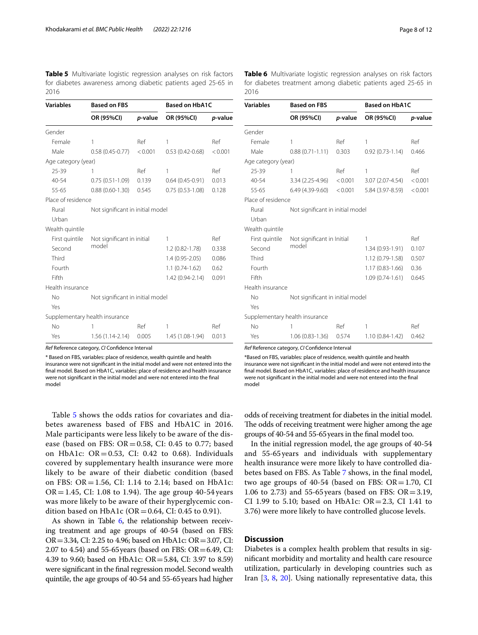<span id="page-7-0"></span>**Table 5** Multivariate logistic regression analyses on risk factors for diabetes awareness among diabetic patients aged 25-65 in 2016

| <b>Variables</b>    | <b>Based on FBS</b>              |         | <b>Based on HbA1C</b> |         |
|---------------------|----------------------------------|---------|-----------------------|---------|
|                     | OR (95%CI)                       | p-value | OR (95%CI)            | p-value |
| Gender              |                                  |         |                       |         |
| Female              | 1                                | Ref     | 1                     | Ref     |
| Male                | $0.58(0.45 - 0.77)$              | < 0.001 | $0.53(0.42 - 0.68)$   | < 0.001 |
| Age category (year) |                                  |         |                       |         |
| $25 - 39$           | 1                                | Ref     | 1                     | Ref     |
| $40 - 54$           | $0.75(0.51 - 1.09)$              | 0.139   | $0.64(0.45-0.91)$     | 0.013   |
| 55-65               | $0.88(0.60-1.30)$                | 0.545   | $0.75(0.53 - 1.08)$   | 0.128   |
| Place of residence  |                                  |         |                       |         |
| Rural               | Not significant in initial model |         |                       |         |
| Urban               |                                  |         |                       |         |
| Wealth quintile     |                                  |         |                       |         |
| First quintile      | Not significant in initial       |         | 1                     | Ref     |
| Second              | model                            |         | $1.2(0.82 - 1.78)$    | 0.338   |
| Third               |                                  |         | $1.4(0.95 - 2.05)$    | 0.086   |
| Fourth              |                                  |         | $1.1(0.74-1.62)$      | 0.62    |
| Fifth               |                                  |         | 1.42 (0.94-2.14)      | 0.091   |
| Health insurance    |                                  |         |                       |         |
| No                  | Not significant in initial model |         |                       |         |
| Yes                 |                                  |         |                       |         |
|                     | Supplementary health insurance   |         |                       |         |
| No                  | 1                                | Ref     | 1                     | Ref     |
| Yes                 | 1.56 (1.14-2.14)                 | 0.005   | 1.45 (1.08-1.94)      | 0.013   |

*Ref* Reference category, *CI* Confdence Interval

\* Based on FBS, variables: place of residence, wealth quintile and health insurance were not signifcant in the initial model and were not entered into the fnal model. Based on HbA1C, variables: place of residence and health insurance were not signifcant in the initial model and were not entered into the fnal model

Table [5](#page-7-0) shows the odds ratios for covariates and diabetes awareness based of FBS and HbA1C in 2016. Male participants were less likely to be aware of the disease (based on FBS:  $OR = 0.58$ , CI: 0.45 to 0.77; based on HbA1c:  $OR = 0.53$ , CI: 0.42 to 0.68). Individuals covered by supplementary health insurance were more likely to be aware of their diabetic condition (based on FBS:  $OR = 1.56$ , CI: 1.14 to 2.14; based on HbA1c:  $OR = 1.45$ , CI: 1.08 to 1.94). The age group 40-54 years was more likely to be aware of their hyperglycemic condition based on HbA1c ( $OR = 0.64$ , CI: 0.45 to 0.91).

As shown in Table [6](#page-7-1), the relationship between receiving treatment and age groups of 40-54 (based on FBS: OR=3.34, CI: 2.25 to 4.96; based on HbA1c: OR=3.07, CI: 2.07 to 4.54) and 55-65 years (based on FBS:  $OR = 6.49$ , CI: 4.39 to 9.60; based on HbA1c: OR=5.84, CI: 3.97 to 8.59) were signifcant in the fnal regression model. Second wealth quintile, the age groups of 40-54 and 55-65years had higher

<span id="page-7-1"></span>

| <b>Variables</b>    | <b>Based on FBS</b>              |         | <b>Based on HbA1C</b> |         |
|---------------------|----------------------------------|---------|-----------------------|---------|
|                     | OR (95%CI)                       | p-value | OR (95%CI)            | p-value |
| Gender              |                                  |         |                       |         |
| Female              | 1                                | Ref     | 1                     | Ref     |
| Male                | $0.88(0.71 - 1.11)$              | 0.303   | $0.92(0.73 - 1.14)$   | 0.466   |
| Age category (year) |                                  |         |                       |         |
| $25 - 39$           | 1                                | Ref     | 1                     | Ref     |
| 40-54               | 3.34 (2.25-4.96)                 | < 0.001 | 3.07 (2.07-4.54)      | < 0.001 |
| 55-65               | 6.49 (4.39-9.60)                 | < 0.001 | 5.84 (3.97-8.59)      | < 0.001 |
| Place of residence  |                                  |         |                       |         |
| Rural               | Not significant in initial model |         |                       |         |
| Urban               |                                  |         |                       |         |
| Wealth quintile     |                                  |         |                       |         |
| First quintile      | Not significant in Initial       |         | 1                     | Ref     |
| Second              | model                            |         | 1.34 (0.93-1.91)      | 0.107   |
| Third               |                                  |         | $1.12(0.79-1.58)$     | 0.507   |
| Fourth              |                                  |         | $1.17(0.83 - 1.66)$   | 0.36    |
| Fifth               |                                  |         | $1.09(0.74-1.61)$     | 0.645   |
| Health insurance    |                                  |         |                       |         |
| No                  | Not significant in initial model |         |                       |         |
| Yes                 |                                  |         |                       |         |
|                     | Supplementary health insurance   |         |                       |         |
| No                  | 1                                | Ref     | 1                     | Ref     |
| Yes                 | $1.06(0.83-1.36)$                | 0.574   | $1.10(0.84-1.42)$     | 0.462   |

*Ref* Reference category, *CI* Confdence Interval

\*Based on FBS, variables: place of residence, wealth quintile and health insurance were not signifcant in the initial model and were not entered into the fnal model. Based on HbA1C, variables: place of residence and health insurance were not signifcant in the initial model and were not entered into the fnal model

odds of receiving treatment for diabetes in the initial model. The odds of receiving treatment were higher among the age groups of 40-54 and 55-65years in the fnal model too.

In the initial regression model, the age groups of 40-54 and 55-65years and individuals with supplementary health insurance were more likely to have controlled diabetes based on FBS. As Table [7](#page-8-0) shows, in the fnal model, two age groups of 40-54 (based on FBS:  $OR = 1.70$ , CI 1.06 to 2.73) and 55-65 years (based on FBS:  $OR = 3.19$ , CI 1.99 to 5.10; based on HbA1c:  $OR = 2.3$ , CI 1.41 to 3.76) were more likely to have controlled glucose levels.

## **Discussion**

Diabetes is a complex health problem that results in signifcant morbidity and mortality and health care resource utilization, particularly in developing countries such as Iran [\[3](#page-10-2), [8,](#page-10-7) [20](#page-10-19)]. Using nationally representative data, this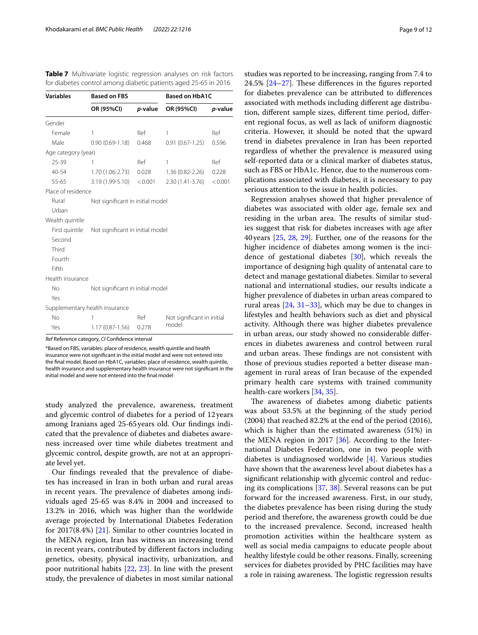| <b>Variables</b>    | <b>Based on FBS</b>              |         | <b>Based on HbA1C</b>      |         |
|---------------------|----------------------------------|---------|----------------------------|---------|
|                     | OR (95%CI)                       | p-value | OR (95%CI)                 | p-value |
| Gender              |                                  |         |                            |         |
| Female              | 1                                | Ref     | 1                          | Ref     |
| Male                | $0.90(0.69 - 1.18)$              | 0.468   | $0.91(0.67-1.25)$          | 0.596   |
| Age category (year) |                                  |         |                            |         |
| 25-39               | 1                                | Ref     | 1                          | Ref     |
| 40-54               | 1.70 (1.06-2.73)                 | 0.028   | $1.36(0.82 - 2.26)$        | 0.228   |
| 55-65               | 3.19 (1.99-5.10)                 | < 0.001 | $2.30(1.41-3.76)$          | < 0.001 |
| Place of residence  |                                  |         |                            |         |
| Rural               | Not significant in initial model |         |                            |         |
| Urban               |                                  |         |                            |         |
| Wealth quintile     |                                  |         |                            |         |
| First quintile      | Not significant in initial model |         |                            |         |
| Second              |                                  |         |                            |         |
| Third               |                                  |         |                            |         |
| Fourth              |                                  |         |                            |         |
| Fifth               |                                  |         |                            |         |
| Health insurance    |                                  |         |                            |         |
| <b>No</b>           | Not significant in initial model |         |                            |         |
| Yes                 |                                  |         |                            |         |
|                     | Supplementary health insurance   |         |                            |         |
| No                  | 1                                | Ref     | Not significant in initial |         |
| Yes                 | $1.17(0.87 - 1.56)$              | 0.278   | model                      |         |

<span id="page-8-0"></span>**Table 7** Multivariate logistic regression analyses on risk factors for diabetes control among diabetic patients aged 25-65 in 2016

*Ref* Reference category, *CI* Confdence interval

\*Based on FBS, variables: place of residence, wealth quintile and health insurance were not signifcant in the initial model and were not entered into the fnal model. Based on HbA1C, variables: place of residence, wealth quintile, health insurance and supplementary health insurance were not signifcant in the initial model and were not entered into the fnal model

study analyzed the prevalence, awareness, treatment and glycemic control of diabetes for a period of 12years among Iranians aged 25-65 years old. Our fndings indicated that the prevalence of diabetes and diabetes awareness increased over time while diabetes treatment and glycemic control, despite growth, are not at an appropriate level yet.

Our fndings revealed that the prevalence of diabetes has increased in Iran in both urban and rural areas in recent years. The prevalence of diabetes among individuals aged 25-65 was 8.4% in 2004 and increased to 13.2% in 2016, which was higher than the worldwide average projected by International Diabetes Federation for 2017(8.4%) [\[21](#page-10-20)]. Similar to other countries located in the MENA region, Iran has witness an increasing trend in recent years, contributed by diferent factors including genetics, obesity, physical inactivity, urbanization, and poor nutritional habits [[22,](#page-10-21) [23](#page-10-22)]. In line with the present study, the prevalence of diabetes in most similar national studies was reported to be increasing, ranging from 7.4 to  $24.5\%$  [ $24-27$ ]. These differences in the figures reported for diabetes prevalence can be attributed to diferences associated with methods including diferent age distribution, diferent sample sizes, diferent time period, diferent regional focus, as well as lack of uniform diagnostic criteria. However, it should be noted that the upward trend in diabetes prevalence in Iran has been reported regardless of whether the prevalence is measured using self-reported data or a clinical marker of diabetes status, such as FBS or HbA1c. Hence, due to the numerous complications associated with diabetes, it is necessary to pay serious attention to the issue in health policies.

Regression analyses showed that higher prevalence of diabetes was associated with older age, female sex and residing in the urban area. The results of similar studies suggest that risk for diabetes increases with age after 40years [\[25](#page-10-24), [28,](#page-11-1) [29](#page-11-2)]. Further, one of the reasons for the higher incidence of diabetes among women is the incidence of gestational diabetes [\[30](#page-11-3)], which reveals the importance of designing high quality of antenatal care to detect and manage gestational diabetes. Similar to several national and international studies, our results indicate a higher prevalence of diabetes in urban areas compared to rural areas [\[24,](#page-10-23) [31](#page-11-4)[–33\]](#page-11-5), which may be due to changes in lifestyles and health behaviors such as diet and physical activity. Although there was higher diabetes prevalence in urban areas, our study showed no considerable diferences in diabetes awareness and control between rural and urban areas. These findings are not consistent with those of previous studies reported a better disease management in rural areas of Iran because of the expended primary health care systems with trained community health-care workers [\[34](#page-11-6), [35\]](#page-11-7).

The awareness of diabetes among diabetic patients was about 53.5% at the beginning of the study period (2004) that reached 82.2% at the end of the period (2016), which is higher than the estimated awareness (51%) in the MENA region in 2017 [[36\]](#page-11-8). According to the International Diabetes Federation, one in two people with diabetes is undiagnosed worldwide [\[4\]](#page-10-3). Various studies have shown that the awareness level about diabetes has a signifcant relationship with glycemic control and reducing its complications [\[37,](#page-11-9) [38\]](#page-11-10). Several reasons can be put forward for the increased awareness. First, in our study, the diabetes prevalence has been rising during the study period and therefore, the awareness growth could be due to the increased prevalence. Second, increased health promotion activities within the healthcare system as well as social media campaigns to educate people about healthy lifestyle could be other reasons. Finally, screening services for diabetes provided by PHC facilities may have a role in raising awareness. The logistic regression results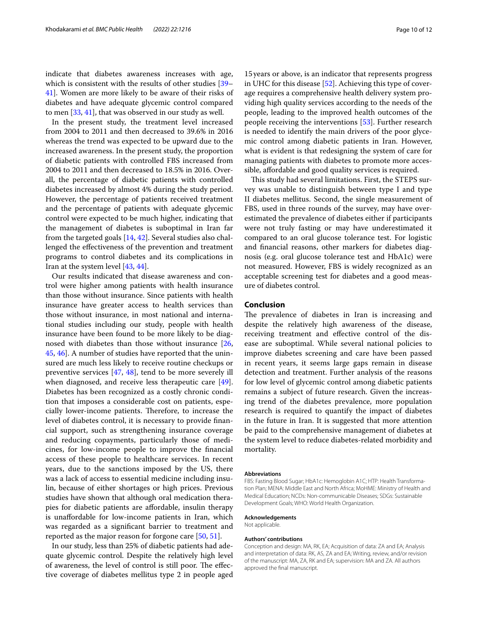indicate that diabetes awareness increases with age, which is consistent with the results of other studies [[39–](#page-11-11) [41\]](#page-11-12). Women are more likely to be aware of their risks of diabetes and have adequate glycemic control compared to men [[33,](#page-11-5) [41](#page-11-12)], that was observed in our study as well.

In the present study, the treatment level increased from 2004 to 2011 and then decreased to 39.6% in 2016 whereas the trend was expected to be upward due to the increased awareness. In the present study, the proportion of diabetic patients with controlled FBS increased from 2004 to 2011 and then decreased to 18.5% in 2016. Overall, the percentage of diabetic patients with controlled diabetes increased by almost 4% during the study period. However, the percentage of patients received treatment and the percentage of patients with adequate glycemic control were expected to be much higher, indicating that the management of diabetes is suboptimal in Iran far from the targeted goals [[14,](#page-10-13) [42](#page-11-13)]. Several studies also challenged the efectiveness of the prevention and treatment programs to control diabetes and its complications in Iran at the system level [[43,](#page-11-14) [44](#page-11-15)].

Our results indicated that disease awareness and control were higher among patients with health insurance than those without insurance. Since patients with health insurance have greater access to health services than those without insurance, in most national and international studies including our study, people with health insurance have been found to be more likely to be diagnosed with diabetes than those without insurance [\[26](#page-11-16), [45,](#page-11-17) [46](#page-11-18)]. A number of studies have reported that the uninsured are much less likely to receive routine checkups or preventive services [[47,](#page-11-19) [48\]](#page-11-20), tend to be more severely ill when diagnosed, and receive less therapeutic care  $[49]$  $[49]$ . Diabetes has been recognized as a costly chronic condition that imposes a considerable cost on patients, especially lower-income patients. Therefore, to increase the level of diabetes control, it is necessary to provide fnancial support, such as strengthening insurance coverage and reducing copayments, particularly those of medicines, for low-income people to improve the fnancial access of these people to healthcare services. In recent years, due to the sanctions imposed by the US, there was a lack of access to essential medicine including insulin, because of either shortages or high prices. Previous studies have shown that although oral medication therapies for diabetic patients are afordable, insulin therapy is unafordable for low-income patients in Iran, which was regarded as a signifcant barrier to treatment and reported as the major reason for forgone care [\[50,](#page-11-22) [51](#page-11-23)].

In our study, less than 25% of diabetic patients had adequate glycemic control. Despite the relatively high level of awareness, the level of control is still poor. The effective coverage of diabetes mellitus type 2 in people aged

15years or above, is an indicator that represents progress in UHC for this disease [[52](#page-11-24)]. Achieving this type of coverage requires a comprehensive health delivery system providing high quality services according to the needs of the people, leading to the improved health outcomes of the people receiving the interventions [[53\]](#page-11-25). Further research is needed to identify the main drivers of the poor glycemic control among diabetic patients in Iran. However, what is evident is that redesigning the system of care for managing patients with diabetes to promote more accessible, affordable and good quality services is required.

This study had several limitations. First, the STEPS survey was unable to distinguish between type I and type II diabetes mellitus. Second, the single measurement of FBS, used in three rounds of the survey, may have overestimated the prevalence of diabetes either if participants were not truly fasting or may have underestimated it compared to an oral glucose tolerance test. For logistic and fnancial reasons, other markers for diabetes diagnosis (e.g. oral glucose tolerance test and HbA1c) were not measured. However, FBS is widely recognized as an acceptable screening test for diabetes and a good measure of diabetes control.

#### **Conclusion**

The prevalence of diabetes in Iran is increasing and despite the relatively high awareness of the disease, receiving treatment and efective control of the disease are suboptimal. While several national policies to improve diabetes screening and care have been passed in recent years, it seems large gaps remain in disease detection and treatment. Further analysis of the reasons for low level of glycemic control among diabetic patients remains a subject of future research. Given the increasing trend of the diabetes prevalence, more population research is required to quantify the impact of diabetes in the future in Iran. It is suggested that more attention be paid to the comprehensive management of diabetes at the system level to reduce diabetes-related morbidity and mortality.

#### **Abbreviations**

FBS: Fasting Blood Sugar; HbA1c: Hemoglobin A1C; HTP: Health Transformation Plan; MENA: Middle East and North Africa; MoHME: Ministry of Health and Medical Education; NCDs: Non-communicable Diseases; SDGs: Sustainable Development Goals; WHO: World Health Organization.

#### **Acknowledgements**

Not applicable.

#### **Authors' contributions**

Conception and design: MA, RK, EA; Acquisition of data: ZA and EA; Analysis and interpretation of data: RK, AS, ZA and EA; Writing, review, and/or revision of the manuscript: MA, ZA, RK and EA; supervision: MA and ZA. All authors approved the fnal manuscript.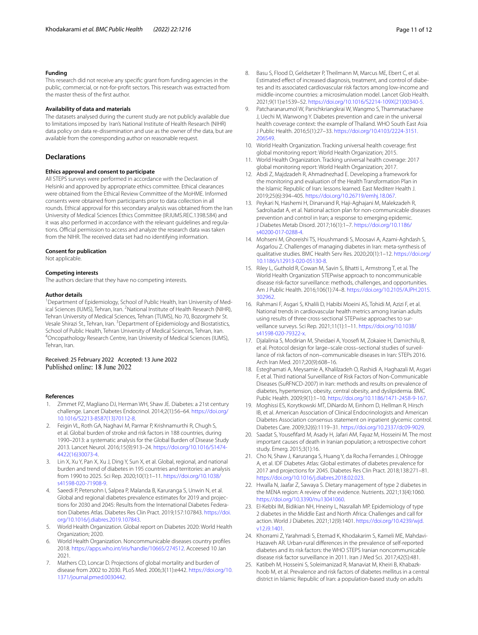#### **Funding**

This research did not receive any specifc grant from funding agencies in the public, commercial, or not-for-proft sectors. This research was extracted from the master thesis of the frst author.

#### **Availability of data and materials**

The datasets analysed during the current study are not publicly available due to limitations imposed by Iran's National Institute of Health Research (NIHR) data policy on data re-dissemination and use as the owner of the data, but are available from the corresponding author on reasonable request.

#### **Declarations**

#### **Ethics approval and consent to participate**

All STEPS surveys were performed in accordance with the Declaration of Helsinki and approved by appropriate ethics committee. Ethical clearances were obtained from the Ethical Review Committee of the MoHME. Informed consents were obtained from participants prior to data collection in all rounds. Ethical approval for this secondary analysis was obtained from the Iran University of Medical Sciences Ethics Committee (IR.IUMS.REC.1398.584) and it was also performed in accordance with the relevant quidelines and regulations. Official permission to access and analyze the research data was taken from the NIHR. The received data set had no identifying information.

#### **Consent for publication**

Not applicable.

#### **Competing interests**

The authors declare that they have no competing interests.

#### **Author details**

<sup>1</sup> Department of Epidemiology, School of Public Health, Iran University of Medical Sciences (IUMS), Tehran, Iran. <sup>2</sup>National Institute of Health Research (NIHR), Tehran University of Medical Sciences, Tehran (TUMS), No 70, Bozorgmehr St. Vesale Shirazi St., Tehran, Iran. <sup>3</sup> Department of Epidemiology and Biostatistics, School of Public Health, Tehran University of Medical Sciences, Tehran, Iran. <sup>4</sup>Oncopathology Research Centre, Iran University of Medical Sciences (IUMS), Tehran, Iran.

## Received: 25 February 2022 Accepted: 13 June 2022

#### **References**

- <span id="page-10-0"></span>Zimmet PZ, Magliano DJ, Herman WH, Shaw JE. Diabetes: a 21st century challenge. Lancet Diabetes Endocrinol. 2014;2(1):56–64. [https://doi.org/](https://doi.org/10.1016/S2213-8587(13)70112-8) [10.1016/S2213-8587\(13\)70112-8](https://doi.org/10.1016/S2213-8587(13)70112-8).
- <span id="page-10-1"></span>2. Feigin VL, Roth GA, Naghavi M, Parmar P, Krishnamurthi R, Chugh S, et al. Global burden of stroke and risk factors in 188 countries, during 1990–2013: a systematic analysis for the Global Burden of Disease Study 2013. Lancet Neurol. 2016;15(9):913–24. [https://doi.org/10.1016/S1474-](https://doi.org/10.1016/S1474-4422(16)30073-4) [4422\(16\)30073-4.](https://doi.org/10.1016/S1474-4422(16)30073-4)
- <span id="page-10-2"></span>3. Lin X, Xu Y, Pan X, Xu J, Ding Y, Sun X, et al. Global, regional, and national burden and trend of diabetes in 195 countries and territories: an analysis from 1990 to 2025. Sci Rep. 2020;10(1):1–11. [https://doi.org/10.1038/](https://doi.org/10.1038/s41598-020-71908-9) [s41598-020-71908-9](https://doi.org/10.1038/s41598-020-71908-9).
- <span id="page-10-3"></span>4. Saeedi P, Petersohn I, Salpea P, Malanda B, Karuranga S, Unwin N, et al. Global and regional diabetes prevalence estimates for 2019 and projections for 2030 and 2045: Results from the International Diabetes Federation Diabetes Atlas. Diabetes Res Clin Pract. 2019;157:107843. [https://doi.](https://doi.org/10.1016/j.diabres.2019.107843) [org/10.1016/j.diabres.2019.107843](https://doi.org/10.1016/j.diabres.2019.107843).
- <span id="page-10-4"></span>5. World Health Organization. Global report on Diabetes 2020: World Health Organization; 2020.
- <span id="page-10-5"></span>6. World Health Organization. Noncommunicable diseases country profles 2018.<https://apps.who.int/iris/handle/10665/274512>. Acceesed 10 Jan 2021.
- <span id="page-10-6"></span>Mathers CD, Loncar D. Projections of global mortality and burden of disease from 2002 to 2030. PLoS Med. 2006;3(11):e442. [https://doi.org/10.](https://doi.org/10.1371/journal.pmed.0030442) [1371/journal.pmed.0030442.](https://doi.org/10.1371/journal.pmed.0030442)
- <span id="page-10-7"></span>8. Basu S, Flood D, Geldsetzer P, Theilmann M, Marcus ME, Ebert C, et al. Estimated effect of increased diagnosis, treatment, and control of diabetes and its associated cardiovascular risk factors among low-income and middle-income countries: a microsimulation model. Lancet Glob Health. 2021;9(11):e1539–52. [https://doi.org/10.1016/S2214-109X\(21\)00340-5.](https://doi.org/10.1016/S2214-109X(21)00340-5)
- <span id="page-10-8"></span>9. Patcharanarumol W, Panichkriangkrai W, Wangmo S, Thammatacharee J, Uechi M, Wanwong Y. Diabetes prevention and care in the universal health coverage context: the example of Thailand. WHO South East Asia J Public Health. 2016;5(1):27–33. [https://doi.org/10.4103/2224-3151.](https://doi.org/10.4103/2224-3151.206549) [206549.](https://doi.org/10.4103/2224-3151.206549)
- <span id="page-10-9"></span>10. World Health Organization. Tracking universal health coverage: frst global monitoring report: World Health Organization; 2015.
- <span id="page-10-10"></span>11. World Health Organization. Tracking universal health coverage: 2017 global monitoring report: World Health Organization; 2017.
- <span id="page-10-11"></span>12. Abdi Z, Majdzadeh R, Ahmadnezhad E. Developing a framework for the monitoring and evaluation of the Health Transformation Plan in the Islamic Republic of Iran: lessons learned. East Mediterr Health J. 2019;25(6):394–405. <https://doi.org/10.26719/emhj.18.067>.
- <span id="page-10-12"></span>13. Peykari N, Hashemi H, Dinarvand R, Haji-Aghajani M, Malekzadeh R, Sadrolsadat A, et al. National action plan for non-communicable diseases prevention and control in Iran; a response to emerging epidemic. J Diabetes Metab Disord. 2017;16(1):1–7. [https://doi.org/10.1186/](https://doi.org/10.1186/s40200-017-0288-4) [s40200-017-0288-4.](https://doi.org/10.1186/s40200-017-0288-4)
- <span id="page-10-13"></span>14. Mohseni M, Ghoreishi TS, Houshmandi S, Moosavi A, Azami-Aghdash S, Asgarlou Z. Challenges of managing diabetes in Iran: meta-synthesis of qualitative studies. BMC Health Serv Res. 2020;20(1):1–12. [https://doi.org/](https://doi.org/10.1186/s12913-020-05130-8) [10.1186/s12913-020-05130-8](https://doi.org/10.1186/s12913-020-05130-8).
- <span id="page-10-14"></span>15. Riley L, Guthold R, Cowan M, Savin S, Bhatti L, Armstrong T, et al. The World Health Organization STEPwise approach to noncommunicable disease risk-factor surveillance: methods, challenges, and opportunities. Am J Public Health. 2016;106(1):74–8. [https://doi.org/10.2105/AJPH.2015.](https://doi.org/10.2105/AJPH.2015.302962) [302962.](https://doi.org/10.2105/AJPH.2015.302962)
- <span id="page-10-15"></span>16. Rahmani F, Asgari S, Khalili D, Habibi Moeini AS, Tohidi M, Azizi F, et al. National trends in cardiovascular health metrics among Iranian adults using results of three cross-sectional STEPwise approaches to surveillance surveys. Sci Rep. 2021;11(1):1–11. [https://doi.org/10.1038/](https://doi.org/10.1038/s41598-020-79322-x) [s41598-020-79322-x](https://doi.org/10.1038/s41598-020-79322-x).
- <span id="page-10-16"></span>17. Djalalinia S, Modirian M, Sheidaei A, Yoosef M, Zokaiee H, Damirchilu B, et al. Protocol design for large–scale cross–sectional studies of surveillance of risk factors of non–communicable diseases in Iran: STEPs 2016. Arch Iran Med. 2017;20(9):608–16.
- <span id="page-10-17"></span>18. Esteghamati A, Meysamie A, Khalilzadeh O, Rashidi A, Haghazali M, Asgari F, et al. Third national Surveillance of Risk Factors of Non-Communicable Diseases (SuRFNCD-2007) in Iran: methods and results on prevalence of diabetes, hypertension, obesity, central obesity, and dyslipidemia. BMC Public Health. 2009;9(1):1–10. [https://doi.org/10.1186/1471-2458-9-167.](https://doi.org/10.1186/1471-2458-9-167)
- <span id="page-10-18"></span>19. Moghissi ES, Korytkowski MT, DiNardo M, Einhorn D, Hellman R, Hirsch IB, et al. American Association of Clinical Endocrinologists and American Diabetes Association consensus statement on inpatient glycemic control. Diabetes Care. 2009;32(6):1119–31. <https://doi.org/10.2337/dc09-9029>.
- <span id="page-10-19"></span>20. Saadat S, Youseffard M, Asady H, Jafari AM, Fayaz M, Hosseini M. The most important causes of death in Iranian population; a retrospective cohort study. Emerg. 2015;3(1):16.
- <span id="page-10-20"></span>21. Cho N, Shaw J, Karuranga S, Huang Y, da Rocha Fernandes J, Ohlrogge A, et al. IDF Diabetes Atlas: Global estimates of diabetes prevalence for 2017 and projections for 2045. Diabetes Res Clin Pract. 2018;138:271–81. [https://doi.org/10.1016/j.diabres.2018.02.023.](https://doi.org/10.1016/j.diabres.2018.02.023)
- <span id="page-10-21"></span>22. Hwalla N, Jaafar Z, Sawaya S. Dietary management of type 2 diabetes in the MENA region: A review of the evidence. Nutrients. 2021;13(4):1060. [https://doi.org/10.3390/nu13041060.](https://doi.org/10.3390/nu13041060)
- <span id="page-10-22"></span>23. El-Kebbi IM, Bidikian NH, Hneiny L, Nasrallah MP. Epidemiology of type 2 diabetes in the Middle East and North Africa: Challenges and call for action. World J Diabetes. 2021;12(9):1401. [https://doi.org/10.4239/wjd.](https://doi.org/10.4239/wjd.v12.i9.1401) [v12.i9.1401.](https://doi.org/10.4239/wjd.v12.i9.1401)
- <span id="page-10-23"></span>24. Khorrami Z, Yarahmadi S, Etemad K, Khodakarim S, Kameli ME, Mahdavi-Hazaveh AR. Urban-rural diferences in the prevalence of self-reported diabetes and its risk factors: the WHO STEPS Iranian noncommunicable disease risk factor surveillance in 2011. Iran J Med Sci. 2017;42(5):481.
- <span id="page-10-24"></span>25. Katibeh M, Hosseini S, Soleimanizad R, Manaviat M, Kheiri B, Khabazkhoob M, et al. Prevalence and risk factors of diabetes mellitus in a central district in Islamic Republic of Iran: a population-based study on adults